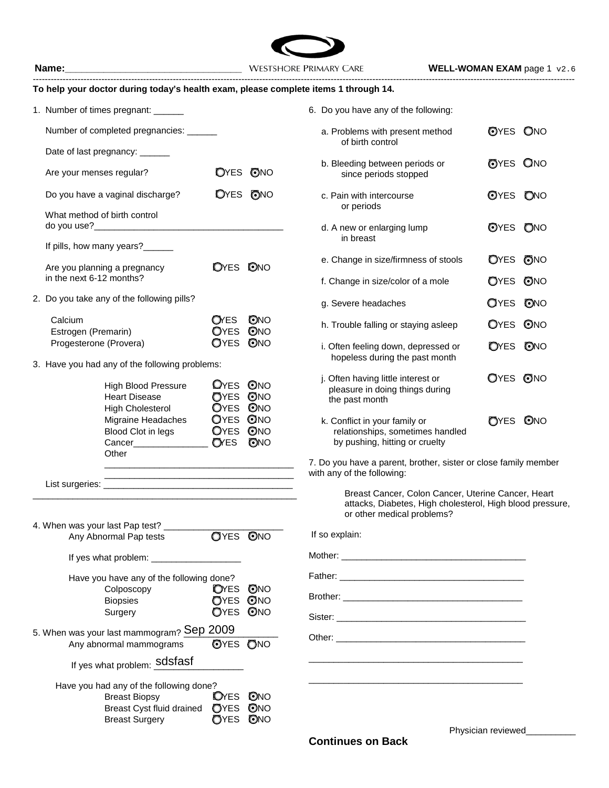

| To help your doctor during today's health exam, please complete items 1 through 14.                                            |                                         |                   |                                                                                                     |                 |            |
|--------------------------------------------------------------------------------------------------------------------------------|-----------------------------------------|-------------------|-----------------------------------------------------------------------------------------------------|-----------------|------------|
| 1. Number of times pregnant: ______                                                                                            |                                         |                   | 6. Do you have any of the following:                                                                |                 |            |
| Number of completed pregnancies: ______                                                                                        |                                         |                   | a. Problems with present method<br>of birth control                                                 | <b>OYES ONO</b> |            |
| Date of last pregnancy: ______                                                                                                 |                                         |                   | b. Bleeding between periods or                                                                      | <b>OYES ONO</b> |            |
| Are your menses regular?                                                                                                       |                                         | <b>OYES ONO</b>   | since periods stopped                                                                               |                 |            |
| Do you have a vaginal discharge?                                                                                               |                                         | <b>OYES ONO</b>   | c. Pain with intercourse<br>or periods                                                              | OYES ONO        |            |
| What method of birth control                                                                                                   |                                         |                   | d. A new or enlarging lump<br>in breast                                                             | OYES ONO        |            |
| If pills, how many years?______                                                                                                |                                         |                   |                                                                                                     |                 |            |
| Are you planning a pregnancy                                                                                                   | <b>OYES ONO</b>                         |                   | e. Change in size/firmness of stools                                                                | OYES ONO        |            |
| in the next 6-12 months?                                                                                                       |                                         |                   | f. Change in size/color of a mole                                                                   | OYES ONO        |            |
| 2. Do you take any of the following pills?                                                                                     |                                         |                   | g. Severe headaches                                                                                 | <b>O</b> YES    | ONO        |
| Calcium<br>Estrogen (Premarin)                                                                                                 | <b>O</b> YES<br><b>O</b> YES            | <b>ONO</b><br>ONO | h. Trouble falling or staying asleep                                                                | OYES ONO        |            |
| Progesterone (Provera)                                                                                                         | OYES                                    | ONO               | i. Often feeling down, depressed or<br>hopeless during the past month                               | <b>O</b> YES    | <b>ONO</b> |
| 3. Have you had any of the following problems:                                                                                 |                                         |                   | j. Often having little interest or                                                                  | <b>OYES ONO</b> |            |
| High Blood Pressure<br><b>Heart Disease</b><br><b>High Cholesterol</b>                                                         | <b>OYES ONO</b><br>OYES ONO<br>OYES ONO |                   | pleasure in doing things during<br>the past month                                                   |                 |            |
| Migraine Headaches<br>Blood Clot in legs<br>Cancer________________                                                             | <b>OYES ONO</b><br>OYES ONO<br>OYES     | ONO               | k. Conflict in your family or<br>relationships, sometimes handled<br>by pushing, hitting or cruelty | <b>OYES ONO</b> |            |
| Other<br><u> 1989 - Johann John Stone, market fan it ferskearre fan it ferskearre fan it ferskearre fan it ferskearre fan </u> |                                         |                   | 7. Do you have a parent, brother, sister or close family member<br>with any of the following:       |                 |            |
|                                                                                                                                |                                         |                   | Breast Cancer, Colon Cancer, Uterine Cancer, Heart                                                  |                 |            |
|                                                                                                                                |                                         |                   | attacks, Diabetes, High cholesterol, High blood pressure,<br>or other medical problems?             |                 |            |
| 4. When was your last Pap test?<br>Any Abnormal Pap tests                                                                      | <b>OYES ONO</b>                         |                   | If so explain:                                                                                      |                 |            |
|                                                                                                                                |                                         |                   |                                                                                                     |                 |            |
| Have you have any of the following done?                                                                                       |                                         |                   |                                                                                                     |                 |            |
| Colposcopy                                                                                                                     | <b>O</b> YES                            | ONO               |                                                                                                     |                 |            |
| <b>Biopsies</b>                                                                                                                | <b>OYES ONO</b>                         |                   |                                                                                                     |                 |            |
| Surgery                                                                                                                        | OYES ONO                                |                   |                                                                                                     |                 |            |
| 5. When was your last mammogram? Sep 2009<br>Any abnormal mammograms                                                           | <b>OYES ONO</b>                         |                   |                                                                                                     |                 |            |
| If yes what problem: Sdsfasf                                                                                                   |                                         |                   |                                                                                                     |                 |            |
| Have you had any of the following done?                                                                                        |                                         |                   |                                                                                                     |                 |            |
| <b>Breast Biopsy</b>                                                                                                           | <b>DYES ONO</b>                         |                   |                                                                                                     |                 |            |
| Breast Cyst fluid drained OYES ONO                                                                                             |                                         |                   |                                                                                                     |                 |            |

Breast Surgery **C**YES ONO

| 6. Do you have any of the following:                                                                |                 |
|-----------------------------------------------------------------------------------------------------|-----------------|
| a. Problems with present method<br>of birth control                                                 | OYES ONO        |
| b. Bleeding between periods or<br>since periods stopped                                             | <b>OYES ONO</b> |
| c. Pain with intercourse<br>or periods                                                              | <b>OYES ONO</b> |
| d. A new or enlarging lump<br>in breast                                                             | OYES ONO        |
| e. Change in size/firmness of stools                                                                | OYES ONO        |
| f. Change in size/color of a mole                                                                   | OYES ONO        |
| g. Severe headaches                                                                                 | <b>OYES ONO</b> |
| h. Trouble falling or staying asleep                                                                | OYES ONO        |
| i. Often feeling down, depressed or<br>hopeless during the past month                               | <b>OYES ONO</b> |
| j. Often having little interest or<br>pleasure in doing things during<br>the past month             | OYES ONO        |
| k. Conflict in your family or<br>relationships, sometimes handled<br>by pushing, hitting or cruelty | OYES ONO        |

Physician reviewed\_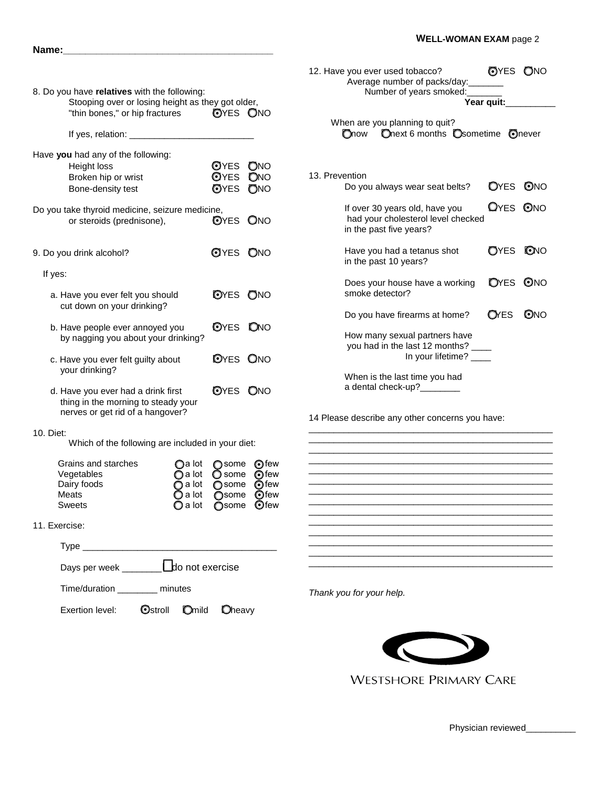|                                                                                                               |                                               | <b>OYES ONO</b><br>12. Have you ever used tobacco?<br>Average number of packs/day:                          |  |  |  |
|---------------------------------------------------------------------------------------------------------------|-----------------------------------------------|-------------------------------------------------------------------------------------------------------------|--|--|--|
| 8. Do you have relatives with the following:<br>Stooping over or losing height as they got older,             |                                               | Number of years smoked:<br>Year quit:                                                                       |  |  |  |
| "thin bones," or hip fractures                                                                                | <b>OYES ONO</b>                               | When are you planning to quit?                                                                              |  |  |  |
| If yes, relation: _____________                                                                               |                                               | Onext 6 months Osometime Onever<br>Onow                                                                     |  |  |  |
| Have you had any of the following:<br>Height loss<br>Broken hip or wrist<br>Bone-density test                 | OYES<br>ONO<br>OYES<br><b>ONO</b><br>OYES ONO | 13. Prevention<br><b>O</b> YES<br>ONO<br>Do you always wear seat belts?                                     |  |  |  |
| Do you take thyroid medicine, seizure medicine,<br>or steroids (prednisone),                                  | OYES ONO                                      | OYES ONO<br>If over 30 years old, have you<br>had your cholesterol level checked<br>in the past five years? |  |  |  |
| 9. Do you drink alcohol?                                                                                      | <b>OYES ONO</b>                               | OYES<br><b>ONO</b><br>Have you had a tetanus shot<br>in the past 10 years?                                  |  |  |  |
| If yes:                                                                                                       |                                               | Does your house have a working<br><b>D</b> YES<br>ONO                                                       |  |  |  |
| a. Have you ever felt you should<br>cut down on your drinking?                                                | OYES ONO                                      | smoke detector?                                                                                             |  |  |  |
| b. Have people ever annoyed you                                                                               | OYES ONO                                      | <b>O</b> YES<br>ONO<br>Do you have firearms at home?                                                        |  |  |  |
| by nagging you about your drinking?                                                                           |                                               | How many sexual partners have<br>you had in the last 12 months? _                                           |  |  |  |
| c. Have you ever felt guilty about                                                                            | OYES ONO                                      | In your lifetime? ____                                                                                      |  |  |  |
| your drinking?                                                                                                |                                               | When is the last time you had                                                                               |  |  |  |
| d. Have you ever had a drink first<br>thing in the morning to steady your<br>nerves or get rid of a hangover? | OYES ONO                                      | a dental check-up?_______<br>14 Please describe any other concerns you have:                                |  |  |  |
| 10. Diet:                                                                                                     |                                               |                                                                                                             |  |  |  |
| Which of the following are included in your diet:                                                             |                                               |                                                                                                             |  |  |  |
| Grains and starches<br>$\bigcirc$ a lot<br>Vegetables<br>$\bigcirc$ a lot                                     | <b>O</b> few<br>◯ some<br>○ some ⊙ few        |                                                                                                             |  |  |  |
| Dairy foods<br>$\bigcirc$ a lot<br>Meats<br>$\bigcirc$ a lot                                                  | <b>O</b> few<br><b>O</b> some<br><b>O</b> few |                                                                                                             |  |  |  |
| Sweets                                                                                                        | Osome<br>O a lot Osome Ofew                   |                                                                                                             |  |  |  |
| 11. Exercise:                                                                                                 |                                               |                                                                                                             |  |  |  |
|                                                                                                               |                                               |                                                                                                             |  |  |  |
|                                                                                                               |                                               |                                                                                                             |  |  |  |
| Time/duration _________ minutes                                                                               |                                               | Thank you for your help.                                                                                    |  |  |  |
| Ostroll<br>Exertion level:<br>Omild                                                                           | Oheavy                                        |                                                                                                             |  |  |  |

**Name:\_\_\_\_\_\_\_\_\_\_\_\_\_\_\_\_\_\_\_\_\_\_\_\_\_\_\_\_\_\_\_\_\_\_\_\_\_\_**



**WESTSHORE PRIMARY CARE** 

Physician reviewed\_\_\_\_\_\_\_\_\_\_\_